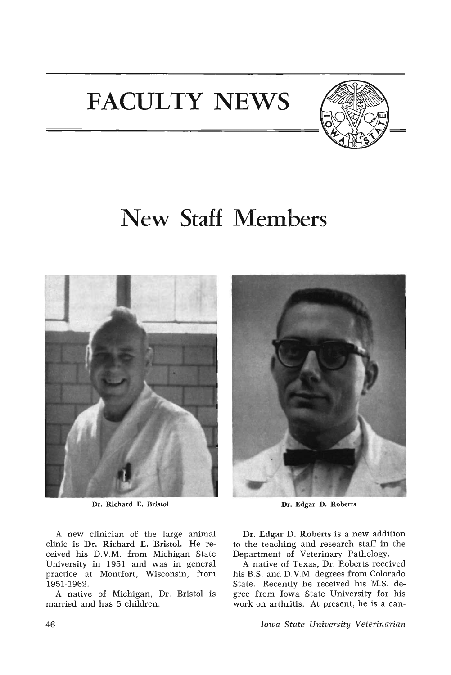## **FACULTY NEWS**



## **New Staff Members**



Dr. Richard E. Bristol

A new clinician of the large animal clinic is Dr. Richard E. Bristol. He received his D.V.M. from Michigan State University in 1951 and was in general practice at Montfort, Wisconsin, from 1951-1962.

A native of Michigan, Dr. Bristol is married and has 5 children.



Dr. Edgar D. Roberts

Dr. Edgar D. Roberts is a new addition to the teaching and research staff in the Department of Veterinary Pathology.

A native of Texas, Dr. Roberts received his B.S. and D.V.M. degrees from Colorado State. Recently he received his M.S. degree from Iowa State University for his work on arthritis. At present, he is a can-

*Iowa State University Veterinarian*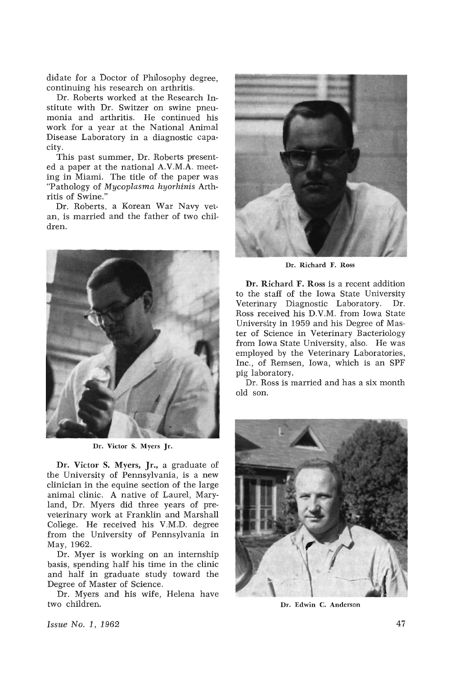didate for a Doctor of Philosophy degree, continuing his research on arthritis.

Dr. Roberts worked at the Research Institute with Dr. Switzer on swine pneumonia and arthritis. He continued his work for a year at the National Animal Disease Laboratory in a diagnostic capacity.

This past summer, Dr. Roberts presented a paper at the national A.V.M.A. meeting in Miami. The title of the paper was "Pathology of Mycoplasma hyorhinis Arthritis of Swine."

Dr. Roberts, a Korean War Navy vetan, is married and the father of two children.



Dr. Victor S. Myers Jr.

Dr. Victor S. Myers, Jr., a graduate of the University of Pennsylvania, is a new clinician in the equine section of the large animal clinic. A native of Laurel, Maryland, Dr. Myers did three years of preveterinary work at Franklin and Marshall College. He received his V.M.D. degree from the University of Pennsylvania in May, 1962.

Dr. Myer is working on an internship basis, spending half his time in the clinic and half in graduate study toward the Degree of Master of Science.

Dr. Myers and his wife, Helena have two children.



Dr. Richard F. Ross

Dr. Richard F. Ross is a recent addition to the staff of the Iowa State University Veterinary Diagnostic Laboratory. Dr. Ross received his D.V.M. from Iowa State University in 1959 and his Degree of Master of Science in Veterinary Bacteriology from Iowa State University, also. He was employed by the Veterinary Laboratories, Inc., of Remsen, Iowa, which is an SPF pig laboratory.

Dr. Ross is married and has a six month old son.



Dr. Edwin C. Anderson

Issue No.1, 1962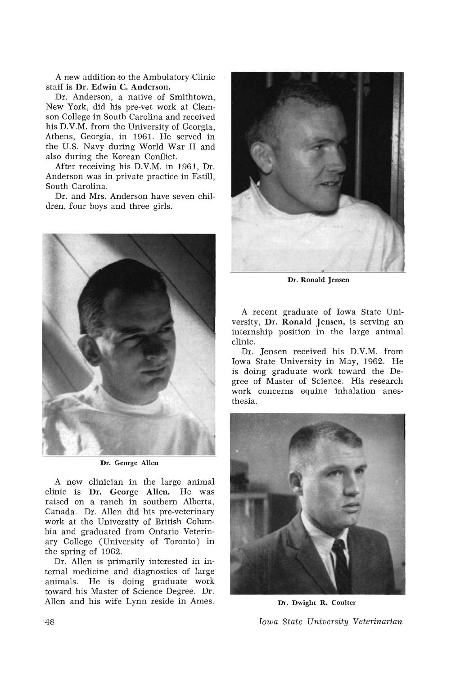A new addition to the Ambulatory Clinic staff is Dr. Edwin C. Anderson.

Dr. Anderson, a native of Smithtown, New York, did his pre-vet work at Clemson College in South Carolina and received his D.V.M. from the University of Georgia, Athens, Georgia, in 1961. He served in the U.S. Navy during World War II and also during the Korean Conflict.

After receiving his D.V.M. in 1961, Dr. Anderson was in private practice in Estill, South Carolina.

Dr. and Mrs. Anderson have seven children, four boys and three girls.



Dr. George Allen

A new clinician in the large animal clinic is Dr. George Allen. He was raised on a ranch in southern Alberta, Canada. Dr. Allen did his pre-veterinary work at the University of British Columbia and graduated from Ontario Veterinary College (University of Toronto) in the spring of 1962.

Dr. Allen is primarily interested in internal medicine and diagnostics of large animals. He is doing graduate work toward his Master of Science Degree. Dr. Allen and his wife Lynn reside in Ames.



Dr. Ronald Jensen

A recent graduate of Iowa State University, Dr. Ronald Jensen, is serving an internship position in the large animal clinic.

Dr. Jensen received his D.V.M. from Iowa State University in May, 1962. He is doing graduate work toward the Degree of Master of Science. His research work concerns equine inhalation anesthesia.



Dr. Dwight R. Coulter

*Iowa State University Veterinarian*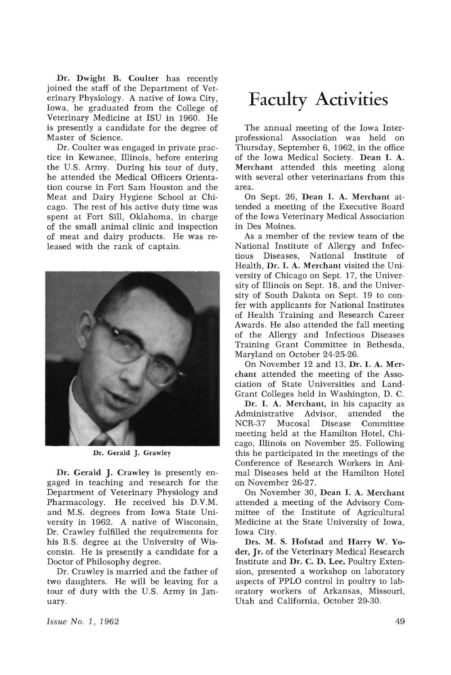Dr. Dwight B. Coulter has recently joined the staff of the Department of VeterinaryPhysiology. A native of Iowa City, Iowa, he graduated from the College of Veterinary Medicine at ISU in 1960. He is presently a candidate for the degree of Master of Science.

Dr. Coulter was engaged in private practice in Kewanee, Illinois, before entering the U.S. Army. During his tour of duty, he attended the Medical Officers Orientation course in Fort Sam Houston and the Meat and Dairy Hygiene School at Chicago. The rest of his active duty time was spent at Fort Sill, Oklahoma, in charge of the small animal clinic and inspection of meat and dairy products. He was released with the rank of captain.



Dr. Gerald J. Grawley

Dr. Gerald J. Crawley is presently engaged in teaching and research for the Department of Veterinary Physiology and Pharmacology. He received his D.V.M. and M.S. degrees from Iowa State University in 1962. A native of Wisconsin, Dr. Crawley fulfilled the requirements for his B.S. degree at the University of Wisconsin. He is presently a candidate for a Doctor of Philosophy degree.

Dr. Crawley is married and the father of two daughters. He will be leaving for a tour of duty with the U.S. Army in January.

## **Faculty Activities**

The annual meeting of the Iowa Interprofessional Association was held on Thursday, September 6, 1962, in the office of the Iowa Medical Society. Dean I. A. Merchant attended this meeting along with several other veterinarians from this area.

On Sept. 26, Dean I. A. Merchant attended a meeting of the Executive Board of the Iowa Veterinary Medical Association in Des Moines.

As a member of the review team of the National Institute of Allergy and Infec-Diseases, National Institute of Health, Dr. I. A. Merchant visited the University of Chicago on Sept. 17, the University of Illinois on Sept. 18, and the University of South Dakota on Sept. 19 to confer with applicants for National Institutes of Health Training and Research Career Awards. He also attended the fall meeting of the Allergy and Infectious Diseases Training Grant Committee in Bethesda, Maryland on October 24-25-26.

On November 12 and 13, Dr. I. A. Merchant attended the meeting of the Association of State Universities and Land-Grant Colleges held in Washington, D. C.

Dr. I. A. Merchant, in his capacity as<br>Iministrative Advisor, attended the Administrative Advisor, a<br>NCR-37 Mucosal Disease Committee meeting held at the Hamilton Hotel, Chicago, Illinois on November 25. Following this he participated in the meetings of the Conference of Research Workers in Animal Diseases held at the Hamilton Hotel on November 26-27.

On November 30, Dean I. A. Merchant attended a meeting of the Advisory Committee of the Institute of Agricultural Medicine at the State University of Iowa, Iowa City.

Drs. M. S. Hofstad and Harry W. Yoder, Jr. of the Veterinary Medical Research Institute and Dr. C. D. Lee, Poultry Extension, presented a workshop on laboratory aspects of PPLO control in poultry to laboratory workers of Arkansas, Missouri, Utah and California, October 29-30.

*Issue No.1, 1962*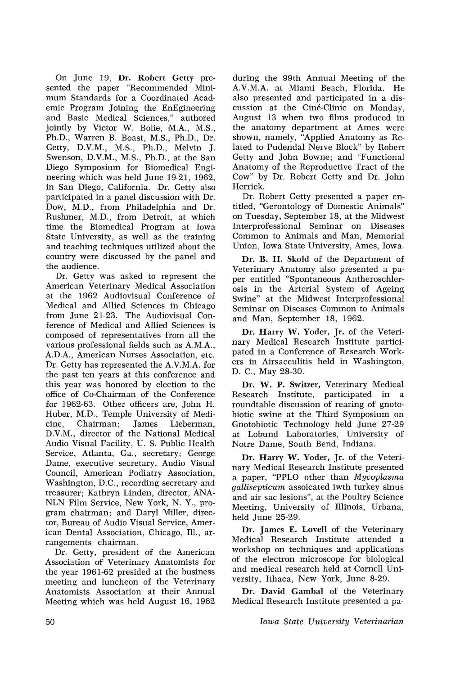On June 19, Dr. Robert Getty presented the paper "Recommended Minimum Standards for a Coordinated Academic Program Joining the EnEgineering and Basic Medical Sciences," authored jointly by Victor W. Bolie, M.A., M.S., Ph.D., Warren B. Boast, M.S., Ph.D., Dr. Getty, D.V.M., M.S., Ph.D., Melvin J. Swenson, D.V.M., M.S., Ph.D., at the San Diego Symposium for Biomedical Engineering which was held June 19-21, 1962, in San Diego, California. Dr. Getty also participated in a panel discussion with Dr. Dow, M.D., from Philadelphia and Dr. Rushmer, M.D., from Detroit, at which time the Biomedical Program at Iowa State University, as well as the training and teaching techniques utilized about the country were discussed by the panel and the audience.

Dr. Getty was asked to represent the American Veterinary Medical Association at the 1962 Audiovisual Conference of Medical and Allied Sciences in Chicago from June 21-23. The Audiovisual Conference of Medical and Allied Sciences is composed of representatives from all the various professional fields such as A.M.A., A.D.A., American Nurses Association, etc. Dr. Getty has represented the A.V.M.A. for the past ten years at this conference and this year was honored by election to the office of Co-Chairman of the Conference for 1962-63. Other officers are, John H. Huber, M.D., Temple University of Medicine, Chairman, James Lieberman, Chairman; D.V.M., director of the National Medical Audio Visual Facility, U. S. Public Health Service, Atlanta, Ga., secretary; George Dame, executive secretary, Audio Visual Council, American Podiatry Association, Washington, D.C., recording secretary and treasurer; Kathryn Linden, director, ANA-NLN Film Service, New York, N. Y., program chairman; and Daryl Miller, director, Bureau of Audio Visual Service, American Dental Association, Chicago, Ill., arrangements chairman.

Dr. Getty, president of the American Association of Veterinary Anatomists for the year 1961-62 presided at the business meeting and luncheon of the Veterinary Anatomists Association at their Annual Meeting which was held August 16, 1962

during the 99th Annual Meeting of the A.V.M.A. at Miami Beach, Florida. He also presented and participated in a discussion at the Ciné-Clinic on Monday, August 13 when two films produced in the anatomy department at Ames were shown, namely, "Applied Anatomy as Related to Pudendal Nerve Block" by Robert Getty and John Bowne; and "Functional Anatomy of the Reproductive Tract of the Cow" by Dr. Robert Getty and Dr. John Herrick.

Dr. Robert Getty presented a paper entitled, "Gerontology of Domestic Animals" on Tuesday, September 18, at the Midwest Interprofessional Seminar on Diseases Common to Animals and Man, Memorial Union, Iowa State University, Ames, Iowa.

Dr. B. H. Skold of the Department of Veterinary Anatomy also presented a paper entitled "Spontaneous Antheroschlerosis in the Arterial System of Ageing Swine" at the Midwest Interprofessional Seminar on Diseases Common to Animals and Man, September 18, 1962.

Dr. Harry W. Yoder, Jr. of the Veterinary 'Medical Research Institute participated in a Conference of Research Workers in Airsacculitis held in Washington, D. C., May 28-30.

Dr. W. P. Switzer, Veterinary Medical Research Institute, participated in a roundtable discussion of rearing of gnotobiotic swine at the Third Symposium on ,Gnotobiotic Technology held June 27-29 at Lobund Laboratories, University of Notre Dame, South Bend, Indiana.

Dr. Harry W. Yoder, Jr. of the Veterinary Medical Research Institute presented a paper, "PPLO other than *Mycoplasma gallisepticum* assoicated iwth turkey sinus and air sac lesions", at the Poultry Science Meeting, University of Illinois, Urbana, held June 25-29.

Dr. James E. Lovell of the Veterinary Medical Research Institute attended a workshop on techniques and applications of the electron microscope for biological and medical research held at Cornell University, Ithaca, New York, June 8-29.

Dr. David Gambal of the Veterinary Medical Research Institute presented a pa